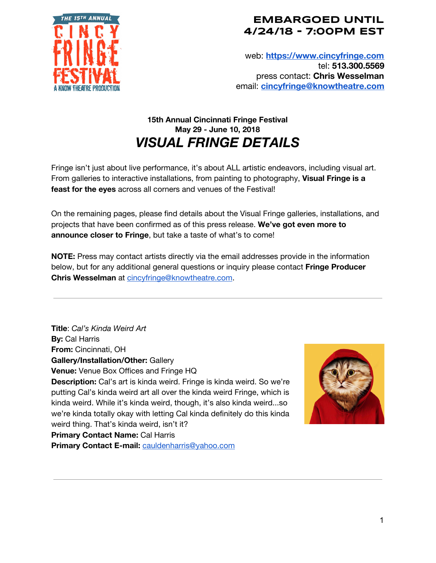

web: **[https://www.cincyfringe.com](https://www.cincyfringe.com/)** tel: **513.300.5569** press contact: **Chris Wesselman** email: **[cincyfringe@knowtheatre.com](mailto:cincyfringe@knowtheatre.com)**

# **15th Annual Cincinnati Fringe Festival May 29 - June 10, 2018** *VISUAL FRINGE DETAILS*

Fringe isn't just about live performance, it's about ALL artistic endeavors, including visual art. From galleries to interactive installations, from painting to photography, **Visual Fringe is a feast for the eyes** across all corners and venues of the Festival!

On the remaining pages, please find details about the Visual Fringe galleries, installations, and projects that have been confirmed as of this press release. **We've got even more to announce closer to Fringe**, but take a taste of what's to come!

**NOTE:** Press may contact artists directly via the email addresses provide in the information below, but for any additional general questions or inquiry please contact **Fringe Producer Chris Wesselman** at [cincyfringe@knowtheatre.com](mailto:cincyfringe@knowtheatre.com).

**Title**: *Cal's Kinda Weird Art* **By:** Cal Harris **From:** Cincinnati, OH **Gallery/Installation/Other:** Gallery **Venue:** Venue Box Offices and Fringe HQ **Description:** Cal's art is kinda weird. Fringe is kinda weird. So we're putting Cal's kinda weird art all over the kinda weird Fringe, which is kinda weird. While it's kinda weird, though, it's also kinda weird...so we're kinda totally okay with letting Cal kinda definitely do this kinda weird thing. That's kinda weird, isn't it? **Primary Contact Name:** Cal Harris **Primary Contact E-mail:** [cauldenharris@yahoo.com](mailto:cauldenharris@yahoo.com)

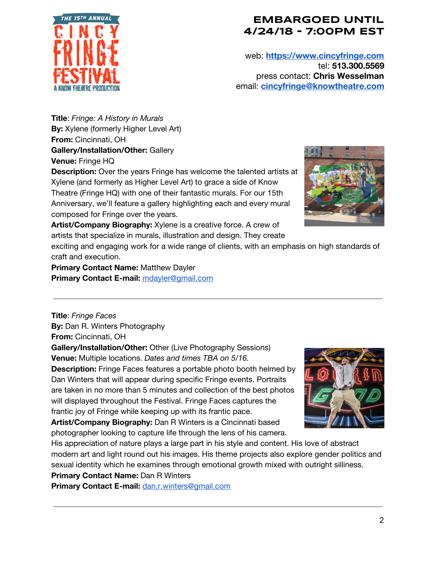

web: **[https://www.cincyfringe.com](https://www.cincyfringe.com/)** tel: **513.300.5569** press contact: **Chris Wesselman** email: **[cincyfringe@knowtheatre.com](mailto:cincyfringe@knowtheatre.com)**

**Title**: *Fringe: A History in Murals* **By:** Xylene (formerly Higher Level Art) **From:** Cincinnati, OH **Gallery/Installation/Other:** Gallery **Venue:** Fringe HQ

**Description:** Over the years Fringe has welcome the talented artists at Xylene (and formerly as Higher Level Art) to grace a side of Know Theatre (Fringe HQ) with one of their fantastic murals. For our 15th Anniversary, we'll feature a gallery highlighting each and every mural composed for Fringe over the years.



**Artist/Company Biography:** Xylene is a creative force. A crew of artists that specialize in murals, illustration and design. They create

exciting and engaging work for a wide range of clients, with an emphasis on high standards of craft and execution.

**Primary Contact Name:** Matthew Dayler **Primary Contact E-mail:** [mdayler@gmail.com](mailto:mdayler@gmail.com)

**Title**: *Fringe Faces* **By:** Dan R. Winters Photography **From:** Cincinnati, OH

**Gallery/Installation/Other:** Other (Live Photography Sessions) **Venue:** Multiple locations. *Dates and times TBA on 5/16.*

**Description:** Fringe Faces features a portable photo booth helmed by Dan Winters that will appear during specific Fringe events. Portraits are taken in no more than 5 minutes and collection of the best photos will displayed throughout the Festival. Fringe Faces captures the frantic joy of Fringe while keeping up with its frantic pace.

**Artist/Company Biography:** Dan R Winters is a Cincinnati based photographer looking to capture life through the lens of his camera.



His appreciation of nature plays a large part in his style and content. His love of abstract modern art and light round out his images. His theme projects also explore gender politics and sexual identity which he examines through emotional growth mixed with outright silliness.

**Primary Contact Name:** Dan R Winters

**Primary Contact E-mail:** [dan.r.winters@gmail.com](mailto:dan.r.winters@gmail.com)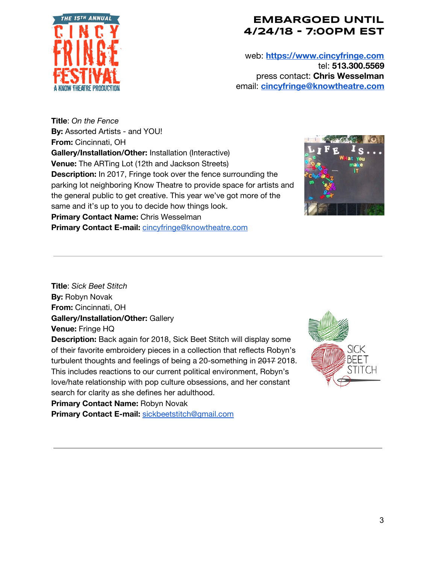

web: **[https://www.cincyfringe.com](https://www.cincyfringe.com/)** tel: **513.300.5569** press contact: **Chris Wesselman** email: **[cincyfringe@knowtheatre.com](mailto:cincyfringe@knowtheatre.com)**

**Title**: *On the Fence* **By:** Assorted Artists - and YOU! **From:** Cincinnati, OH **Gallery/Installation/Other:** Installation (Interactive) **Venue:** The ARTing Lot (12th and Jackson Streets) **Description:** In 2017, Fringe took over the fence surrounding the parking lot neighboring Know Theatre to provide space for artists and the general public to get creative. This year we've got more of the same and it's up to you to decide how things look. **Primary Contact Name:** Chris Wesselman

**Primary Contact E-mail:** [cincyfringe@knowtheatre.com](mailto:cincyfringe@knowtheatre.com)



**Title**: *Sick Beet Stitch* **By:** Robyn Novak **From:** Cincinnati, OH **Gallery/Installation/Other:** Gallery **Venue:** Fringe HQ

**Description:** Back again for 2018, Sick Beet Stitch will display some of their favorite embroidery pieces in a collection that reflects Robyn's turbulent thoughts and feelings of being a 20-something in 2017 2018. This includes reactions to our current political environment, Robyn's love/hate relationship with pop culture obsessions, and her constant search for clarity as she defines her adulthood.

**Primary Contact Name:** Robyn Novak

**Primary Contact E-mail:** [sickbeetstitch@gmail.com](mailto:sickbeetstitch@gmail.com)